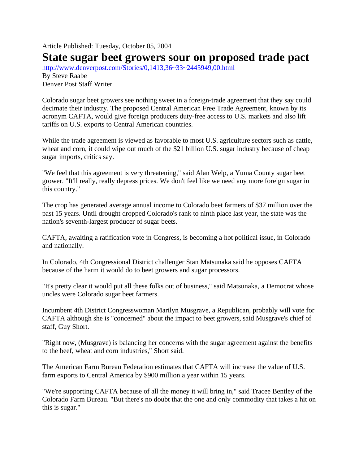Article Published: Tuesday, October 05, 2004

## **State sugar beet growers sour on proposed trade pact**

http://www.denverpost.com/Stories/0,1413,36~33~2445949,00.html By Steve Raabe Denver Post Staff Writer

Colorado sugar beet growers see nothing sweet in a foreign-trade agreement that they say could decimate their industry. The proposed Central American Free Trade Agreement, known by its acronym CAFTA, would give foreign producers duty-free access to U.S. markets and also lift tariffs on U.S. exports to Central American countries.

While the trade agreement is viewed as favorable to most U.S. agriculture sectors such as cattle, wheat and corn, it could wipe out much of the \$21 billion U.S. sugar industry because of cheap sugar imports, critics say.

"We feel that this agreement is very threatening," said Alan Welp, a Yuma County sugar beet grower. "It'll really, really depress prices. We don't feel like we need any more foreign sugar in this country."

The crop has generated average annual income to Colorado beet farmers of \$37 million over the past 15 years. Until drought dropped Colorado's rank to ninth place last year, the state was the nation's seventh-largest producer of sugar beets.

CAFTA, awaiting a ratification vote in Congress, is becoming a hot political issue, in Colorado and nationally.

In Colorado, 4th Congressional District challenger Stan Matsunaka said he opposes CAFTA because of the harm it would do to beet growers and sugar processors.

"It's pretty clear it would put all these folks out of business," said Matsunaka, a Democrat whose uncles were Colorado sugar beet farmers.

Incumbent 4th District Congresswoman Marilyn Musgrave, a Republican, probably will vote for CAFTA although she is "concerned" about the impact to beet growers, said Musgrave's chief of staff, Guy Short.

"Right now, (Musgrave) is balancing her concerns with the sugar agreement against the benefits to the beef, wheat and corn industries," Short said.

The American Farm Bureau Federation estimates that CAFTA will increase the value of U.S. farm exports to Central America by \$900 million a year within 15 years.

"We're supporting CAFTA because of all the money it will bring in," said Tracee Bentley of the Colorado Farm Bureau. "But there's no doubt that the one and only commodity that takes a hit on this is sugar."